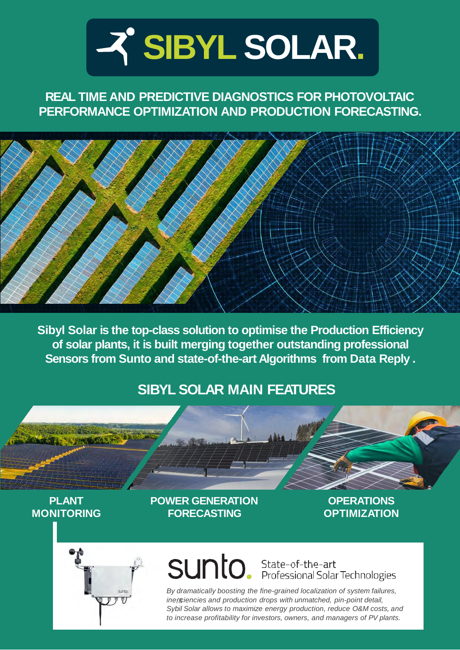

## **REAL TIME AND PREDICTIVE DIAGNOSTICS FOR PHOTOVOLTAIC PERFORMANCE OPTIMIZATION AND PRODUCTION FORECASTING.**



**Sibyl Solar is the top-class solution to optimise the Production Efficiency of solar plants, it is built merging together outstanding professional Sensors from Sunto and state-of-the-art Algorithms from Data Reply .**

## **SIBYL SOLAR MAIN FEATURES**

### **PLANT MONITORING**

**POWER GENERATION FORECASTING**

**OPERATIONS OPTIMIZATION**



# SUNIO. State-of-the-art<br>Professional Solar Technologies

*By dramatically boosting the fine-grained localization of system failures, ine ciencies and production drops with unmatched, pin-point detail, Sybil Solar allows to maximize energy production, reduce O&M costs, and to increase profitability for investors, owners, and managers of PV plants.*